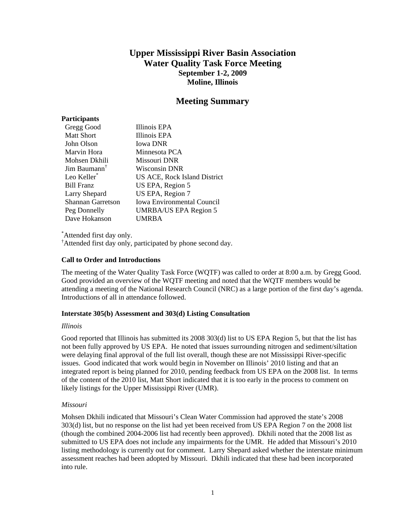# **Upper Mississippi River Basin Association Water Quality Task Force Meeting September 1-2, 2009 Moline, Illinois**

# **Meeting Summary**

# **Participants**

| Gregg Good               | Illinois EPA                      |
|--------------------------|-----------------------------------|
| <b>Matt Short</b>        | Illinois EPA                      |
| John Olson               | <b>Iowa DNR</b>                   |
| Marvin Hora              | Minnesota PCA                     |
| Mohsen Dkhili            | Missouri DNR                      |
| Jim Baumann <sup>T</sup> | Wisconsin DNR                     |
| Leo Keller <sup>*</sup>  | US ACE, Rock Island District      |
| <b>Bill Franz</b>        | US EPA, Region 5                  |
| Larry Shepard            | US EPA, Region 7                  |
| <b>Shannan Garretson</b> | <b>Iowa Environmental Council</b> |
| Peg Donnelly             | <b>UMRBA/US EPA Region 5</b>      |
| Dave Hokanson            | UMRBA                             |

\* Attended first day only.

† Attended first day only, participated by phone second day.

# **Call to Order and Introductions**

The meeting of the Water Quality Task Force (WQTF) was called to order at 8:00 a.m. by Gregg Good. Good provided an overview of the WQTF meeting and noted that the WQTF members would be attending a meeting of the National Research Council (NRC) as a large portion of the first day's agenda. Introductions of all in attendance followed.

# **Interstate 305(b) Assessment and 303(d) Listing Consultation**

# *Illinois*

Good reported that Illinois has submitted its 2008 303(d) list to US EPA Region 5, but that the list has not been fully approved by US EPA. He noted that issues surrounding nitrogen and sediment/siltation were delaying final approval of the full list overall, though these are not Mississippi River-specific issues. Good indicated that work would begin in November on Illinois' 2010 listing and that an integrated report is being planned for 2010, pending feedback from US EPA on the 2008 list. In terms of the content of the 2010 list, Matt Short indicated that it is too early in the process to comment on likely listings for the Upper Mississippi River (UMR).

# *Missouri*

Mohsen Dkhili indicated that Missouri's Clean Water Commission had approved the state's 2008 303(d) list, but no response on the list had yet been received from US EPA Region 7 on the 2008 list (though the combined 2004-2006 list had recently been approved). Dkhili noted that the 2008 list as submitted to US EPA does not include any impairments for the UMR. He added that Missouri's 2010 listing methodology is currently out for comment. Larry Shepard asked whether the interstate minimum assessment reaches had been adopted by Missouri. Dkhili indicated that these had been incorporated into rule.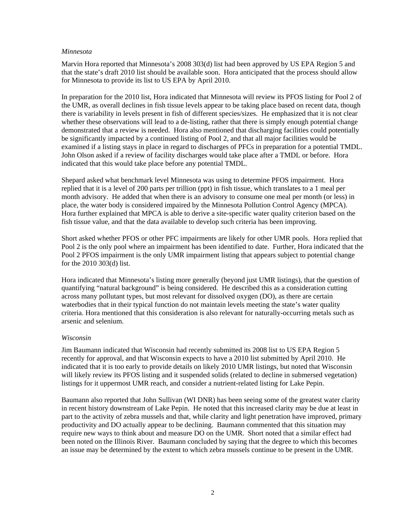#### *Minnesota*

Marvin Hora reported that Minnesota's 2008 303(d) list had been approved by US EPA Region 5 and that the state's draft 2010 list should be available soon. Hora anticipated that the process should allow for Minnesota to provide its list to US EPA by April 2010.

In preparation for the 2010 list, Hora indicated that Minnesota will review its PFOS listing for Pool 2 of the UMR, as overall declines in fish tissue levels appear to be taking place based on recent data, though there is variability in levels present in fish of different species/sizes. He emphasized that it is not clear whether these observations will lead to a de-listing, rather that there is simply enough potential change demonstrated that a review is needed. Hora also mentioned that discharging facilities could potentially be significantly impacted by a continued listing of Pool 2, and that all major facilities would be examined if a listing stays in place in regard to discharges of PFCs in preparation for a potential TMDL. John Olson asked if a review of facility discharges would take place after a TMDL or before. Hora indicated that this would take place before any potential TMDL.

Shepard asked what benchmark level Minnesota was using to determine PFOS impairment. Hora replied that it is a level of 200 parts per trillion (ppt) in fish tissue, which translates to a 1 meal per month advisory. He added that when there is an advisory to consume one meal per month (or less) in place, the water body is considered impaired by the Minnesota Pollution Control Agency (MPCA). Hora further explained that MPCA is able to derive a site-specific water quality criterion based on the fish tissue value, and that the data available to develop such criteria has been improving.

Short asked whether PFOS or other PFC impairments are likely for other UMR pools. Hora replied that Pool 2 is the only pool where an impairment has been identified to date. Further, Hora indicated that the Pool 2 PFOS impairment is the only UMR impairment listing that appears subject to potential change for the 2010 303(d) list.

Hora indicated that Minnesota's listing more generally (beyond just UMR listings), that the question of quantifying "natural background" is being considered. He described this as a consideration cutting across many pollutant types, but most relevant for dissolved oxygen (DO), as there are certain waterbodies that in their typical function do not maintain levels meeting the state's water quality criteria. Hora mentioned that this consideration is also relevant for naturally-occurring metals such as arsenic and selenium.

# *Wisconsin*

Jim Baumann indicated that Wisconsin had recently submitted its 2008 list to US EPA Region 5 recently for approval, and that Wisconsin expects to have a 2010 list submitted by April 2010. He indicated that it is too early to provide details on likely 2010 UMR listings, but noted that Wisconsin will likely review its PFOS listing and it suspended solids (related to decline in submersed vegetation) listings for it uppermost UMR reach, and consider a nutrient-related listing for Lake Pepin.

Baumann also reported that John Sullivan (WI DNR) has been seeing some of the greatest water clarity in recent history downstream of Lake Pepin. He noted that this increased clarity may be due at least in part to the activity of zebra mussels and that, while clarity and light penetration have improved, primary productivity and DO actually appear to be declining. Baumann commented that this situation may require new ways to think about and measure DO on the UMR. Short noted that a similar effect had been noted on the Illinois River. Baumann concluded by saying that the degree to which this becomes an issue may be determined by the extent to which zebra mussels continue to be present in the UMR.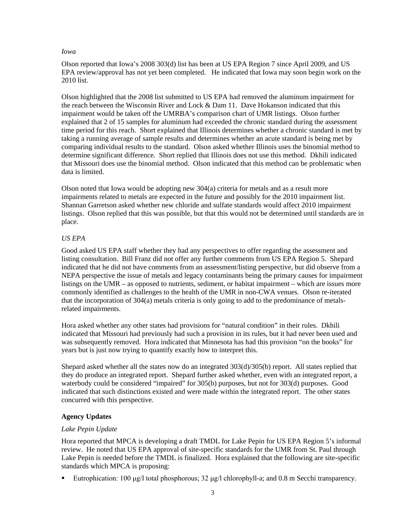#### *Iowa*

Olson reported that Iowa's 2008 303(d) list has been at US EPA Region 7 since April 2009, and US EPA review/approval has not yet been completed. He indicated that Iowa may soon begin work on the 2010 list.

Olson highlighted that the 2008 list submitted to US EPA had removed the aluminum impairment for the reach between the Wisconsin River and Lock & Dam 11. Dave Hokanson indicated that this impairment would be taken off the UMRBA's comparison chart of UMR listings. Olson further explained that 2 of 15 samples for aluminum had exceeded the chronic standard during the assessment time period for this reach. Short explained that Illinois determines whether a chronic standard is met by taking a running average of sample results and determines whether an acute standard is being met by comparing individual results to the standard. Olson asked whether Illinois uses the binomial method to determine significant difference. Short replied that Illinois does not use this method. Dkhili indicated that Missouri does use the binomial method. Olson indicated that this method can be problematic when data is limited.

Olson noted that Iowa would be adopting new 304(a) criteria for metals and as a result more impairments related to metals are expected in the future and possibly for the 2010 impairment list. Shannan Garretson asked whether new chloride and sulfate standards would affect 2010 impairment listings. Olson replied that this was possible, but that this would not be determined until standards are in place.

# *US EPA*

Good asked US EPA staff whether they had any perspectives to offer regarding the assessment and listing consultation. Bill Franz did not offer any further comments from US EPA Region 5. Shepard indicated that he did not have comments from an assessment/listing perspective, but did observe from a NEPA perspective the issue of metals and legacy contaminants being the primary causes for impairment listings on the UMR – as opposed to nutrients, sediment, or habitat impairment – which are issues more commonly identified as challenges to the health of the UMR in non-CWA venues. Olson re-iterated that the incorporation of 304(a) metals criteria is only going to add to the predominance of metalsrelated impairments.

Hora asked whether any other states had provisions for "natural condition" in their rules. Dkhili indicated that Missouri had previously had such a provision in its rules, but it had never been used and was subsequently removed. Hora indicated that Minnesota has had this provision "on the books" for years but is just now trying to quantify exactly how to interpret this.

Shepard asked whether all the states now do an integrated 303(d)/305(b) report. All states replied that they do produce an integrated report. Shepard further asked whether, even with an integrated report, a waterbody could be considered "impaired" for 305(b) purposes, but not for 303(d) purposes. Good indicated that such distinctions existed and were made within the integrated report. The other states concurred with this perspective.

# **Agency Updates**

# *Lake Pepin Update*

Hora reported that MPCA is developing a draft TMDL for Lake Pepin for US EPA Region 5's informal review. He noted that US EPA approval of site-specific standards for the UMR from St. Paul through Lake Pepin is needed before the TMDL is finalized. Hora explained that the following are site-specific standards which MPCA is proposing:

Eutrophication:  $100 \mu g/l$  total phosphorous;  $32 \mu g/l$  chlorophyll-a; and 0.8 m Secchi transparency.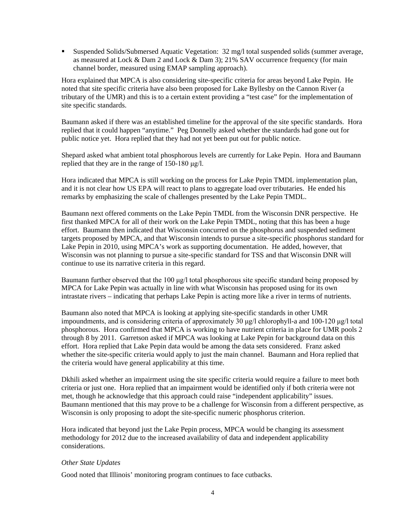Suspended Solids/Submersed Aquatic Vegetation: 32 mg/l total suspended solids (summer average, as measured at Lock & Dam 2 and Lock & Dam 3); 21% SAV occurrence frequency (for main channel border, measured using EMAP sampling approach).

Hora explained that MPCA is also considering site-specific criteria for areas beyond Lake Pepin. He noted that site specific criteria have also been proposed for Lake Byllesby on the Cannon River (a tributary of the UMR) and this is to a certain extent providing a "test case" for the implementation of site specific standards.

Baumann asked if there was an established timeline for the approval of the site specific standards. Hora replied that it could happen "anytime." Peg Donnelly asked whether the standards had gone out for public notice yet. Hora replied that they had not yet been put out for public notice.

Shepard asked what ambient total phosphorous levels are currently for Lake Pepin. Hora and Baumann replied that they are in the range of 150-180 μg/l.

Hora indicated that MPCA is still working on the process for Lake Pepin TMDL implementation plan, and it is not clear how US EPA will react to plans to aggregate load over tributaries. He ended his remarks by emphasizing the scale of challenges presented by the Lake Pepin TMDL.

Baumann next offered comments on the Lake Pepin TMDL from the Wisconsin DNR perspective. He first thanked MPCA for all of their work on the Lake Pepin TMDL, noting that this has been a huge effort. Baumann then indicated that Wisconsin concurred on the phosphorus and suspended sediment targets proposed by MPCA, and that Wisconsin intends to pursue a site-specific phosphorus standard for Lake Pepin in 2010, using MPCA's work as supporting documentation. He added, however, that Wisconsin was not planning to pursue a site-specific standard for TSS and that Wisconsin DNR will continue to use its narrative criteria in this regard.

Baumann further observed that the 100 μg/l total phosphorous site specific standard being proposed by MPCA for Lake Pepin was actually in line with what Wisconsin has proposed using for its own intrastate rivers – indicating that perhaps Lake Pepin is acting more like a river in terms of nutrients.

Baumann also noted that MPCA is looking at applying site-specific standards in other UMR impoundments, and is considering criteria of approximately 30 μg/l chlorophyll-a and 100-120 μg/l total phosphorous. Hora confirmed that MPCA is working to have nutrient criteria in place for UMR pools 2 through 8 by 2011. Garretson asked if MPCA was looking at Lake Pepin for background data on this effort. Hora replied that Lake Pepin data would be among the data sets considered. Franz asked whether the site-specific criteria would apply to just the main channel. Baumann and Hora replied that the criteria would have general applicability at this time.

Dkhili asked whether an impairment using the site specific criteria would require a failure to meet both criteria or just one. Hora replied that an impairment would be identified only if both criteria were not met, though he acknowledge that this approach could raise "independent applicability" issues. Baumann mentioned that this may prove to be a challenge for Wisconsin from a different perspective, as Wisconsin is only proposing to adopt the site-specific numeric phosphorus criterion.

Hora indicated that beyond just the Lake Pepin process, MPCA would be changing its assessment methodology for 2012 due to the increased availability of data and independent applicability considerations.

# *Other State Updates*

Good noted that Illinois' monitoring program continues to face cutbacks.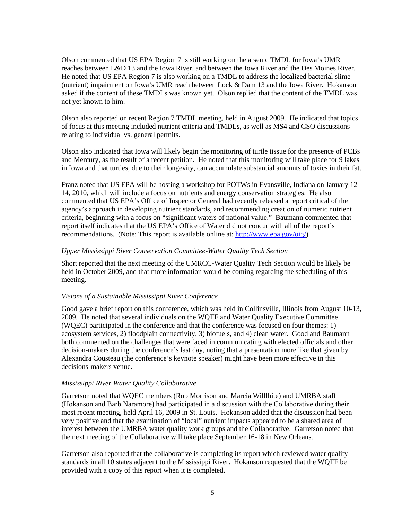Olson commented that US EPA Region 7 is still working on the arsenic TMDL for Iowa's UMR reaches between L&D 13 and the Iowa River, and between the Iowa River and the Des Moines River. He noted that US EPA Region 7 is also working on a TMDL to address the localized bacterial slime (nutrient) impairment on Iowa's UMR reach between Lock & Dam 13 and the Iowa River. Hokanson asked if the content of these TMDLs was known yet. Olson replied that the content of the TMDL was not yet known to him.

Olson also reported on recent Region 7 TMDL meeting, held in August 2009. He indicated that topics of focus at this meeting included nutrient criteria and TMDLs, as well as MS4 and CSO discussions relating to individual vs. general permits.

Olson also indicated that Iowa will likely begin the monitoring of turtle tissue for the presence of PCBs and Mercury, as the result of a recent petition. He noted that this monitoring will take place for 9 lakes in Iowa and that turtles, due to their longevity, can accumulate substantial amounts of toxics in their fat.

Franz noted that US EPA will be hosting a workshop for POTWs in Evansville, Indiana on January 12- 14, 2010, which will include a focus on nutrients and energy conservation strategies. He also commented that US EPA's Office of Inspector General had recently released a report critical of the agency's approach in developing nutrient standards, and recommending creation of numeric nutrient criteria, beginning with a focus on "significant waters of national value." Baumann commented that report itself indicates that the US EPA's Office of Water did not concur with all of the report's recommendations. (Note: This report is available online at[: http://www.epa.gov/oig/\)](http://www.epa.gov/oig/)

# *Upper Mississippi River Conservation Committee-Water Quality Tech Section*

Short reported that the next meeting of the UMRCC-Water Quality Tech Section would be likely be held in October 2009, and that more information would be coming regarding the scheduling of this meeting.

# *Visions of a Sustainable Mississippi River Conference*

Good gave a brief report on this conference, which was held in Collinsville, Illinois from August 10-13, 2009. He noted that several individuals on the WQTF and Water Quality Executive Committee (WQEC) participated in the conference and that the conference was focused on four themes: 1) ecosystem services, 2) floodplain connectivity, 3) biofuels, and 4) clean water. Good and Baumann both commented on the challenges that were faced in communicating with elected officials and other decision-makers during the conference's last day, noting that a presentation more like that given by Alexandra Cousteau (the conference's keynote speaker) might have been more effective in this decisions-makers venue.

# *Mississippi River Water Quality Collaborative*

Garretson noted that WQEC members (Rob Morrison and Marcia Willlhite) and UMRBA staff (Hokanson and Barb Naramore) had participated in a discussion with the Collaborative during their most recent meeting, held April 16, 2009 in St. Louis. Hokanson added that the discussion had been very positive and that the examination of "local" nutrient impacts appeared to be a shared area of interest between the UMRBA water quality work groups and the Collaborative. Garretson noted that the next meeting of the Collaborative will take place September 16-18 in New Orleans.

Garretson also reported that the collaborative is completing its report which reviewed water quality standards in all 10 states adjacent to the Mississippi River. Hokanson requested that the WQTF be provided with a copy of this report when it is completed.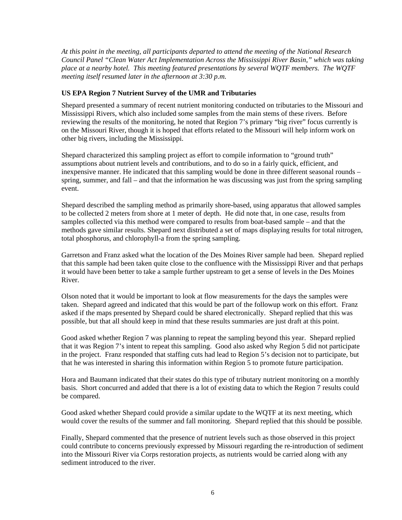*At this point in the meeting, all participants departed to attend the meeting of the National Research Council Panel "Clean Water Act Implementation Across the Mississippi River Basin," which was taking place at a nearby hotel. This meeting featured presentations by several WQTF members. The WQTF meeting itself resumed later in the afternoon at 3:30 p.m.*

# **US EPA Region 7 Nutrient Survey of the UMR and Tributaries**

Shepard presented a summary of recent nutrient monitoring conducted on tributaries to the Missouri and Mississippi Rivers, which also included some samples from the main stems of these rivers. Before reviewing the results of the monitoring, he noted that Region 7's primary "big river" focus currently is on the Missouri River, though it is hoped that efforts related to the Missouri will help inform work on other big rivers, including the Mississippi.

Shepard characterized this sampling project as effort to compile information to "ground truth" assumptions about nutrient levels and contributions, and to do so in a fairly quick, efficient, and inexpensive manner. He indicated that this sampling would be done in three different seasonal rounds – spring, summer, and fall – and that the information he was discussing was just from the spring sampling event.

Shepard described the sampling method as primarily shore-based, using apparatus that allowed samples to be collected 2 meters from shore at 1 meter of depth. He did note that, in one case, results from samples collected via this method were compared to results from boat-based sample – and that the methods gave similar results. Shepard next distributed a set of maps displaying results for total nitrogen, total phosphorus, and chlorophyll-a from the spring sampling.

Garretson and Franz asked what the location of the Des Moines River sample had been. Shepard replied that this sample had been taken quite close to the confluence with the Mississippi River and that perhaps it would have been better to take a sample further upstream to get a sense of levels in the Des Moines River.

Olson noted that it would be important to look at flow measurements for the days the samples were taken. Shepard agreed and indicated that this would be part of the followup work on this effort. Franz asked if the maps presented by Shepard could be shared electronically. Shepard replied that this was possible, but that all should keep in mind that these results summaries are just draft at this point.

Good asked whether Region 7 was planning to repeat the sampling beyond this year. Shepard replied that it was Region 7's intent to repeat this sampling. Good also asked why Region 5 did not participate in the project. Franz responded that staffing cuts had lead to Region 5's decision not to participate, but that he was interested in sharing this information within Region 5 to promote future participation.

Hora and Baumann indicated that their states do this type of tributary nutrient monitoring on a monthly basis. Short concurred and added that there is a lot of existing data to which the Region 7 results could be compared.

Good asked whether Shepard could provide a similar update to the WQTF at its next meeting, which would cover the results of the summer and fall monitoring. Shepard replied that this should be possible.

Finally, Shepard commented that the presence of nutrient levels such as those observed in this project could contribute to concerns previously expressed by Missouri regarding the re-introduction of sediment into the Missouri River via Corps restoration projects, as nutrients would be carried along with any sediment introduced to the river.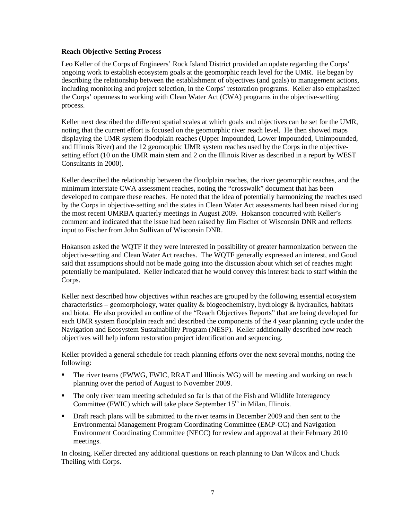#### **Reach Objective-Setting Process**

Leo Keller of the Corps of Engineers' Rock Island District provided an update regarding the Corps' ongoing work to establish ecosystem goals at the geomorphic reach level for the UMR. He began by describing the relationship between the establishment of objectives (and goals) to management actions, including monitoring and project selection, in the Corps' restoration programs. Keller also emphasized the Corps' openness to working with Clean Water Act (CWA) programs in the objective-setting process.

Keller next described the different spatial scales at which goals and objectives can be set for the UMR, noting that the current effort is focused on the geomorphic river reach level. He then showed maps displaying the UMR system floodplain reaches (Upper Impounded, Lower Impounded, Unimpounded, and Illinois River) and the 12 geomorphic UMR system reaches used by the Corps in the objectivesetting effort (10 on the UMR main stem and 2 on the Illinois River as described in a report by WEST Consultants in 2000).

Keller described the relationship between the floodplain reaches, the river geomorphic reaches, and the minimum interstate CWA assessment reaches, noting the "crosswalk" document that has been developed to compare these reaches. He noted that the idea of potentially harmonizing the reaches used by the Corps in objective-setting and the states in Clean Water Act assessments had been raised during the most recent UMRBA quarterly meetings in August 2009. Hokanson concurred with Keller's comment and indicated that the issue had been raised by Jim Fischer of Wisconsin DNR and reflects input to Fischer from John Sullivan of Wisconsin DNR.

Hokanson asked the WQTF if they were interested in possibility of greater harmonization between the objective-setting and Clean Water Act reaches. The WQTF generally expressed an interest, and Good said that assumptions should not be made going into the discussion about which set of reaches might potentially be manipulated. Keller indicated that he would convey this interest back to staff within the Corps.

Keller next described how objectives within reaches are grouped by the following essential ecosystem characteristics – geomorphology, water quality & biogeochemistry, hydrology & hydraulics, habitats and biota. He also provided an outline of the "Reach Objectives Reports" that are being developed for each UMR system floodplain reach and described the components of the 4 year planning cycle under the Navigation and Ecosystem Sustainability Program (NESP). Keller additionally described how reach objectives will help inform restoration project identification and sequencing.

Keller provided a general schedule for reach planning efforts over the next several months, noting the following:

- The river teams (FWWG, FWIC, RRAT and Illinois WG) will be meeting and working on reach planning over the period of August to November 2009.
- The only river team meeting scheduled so far is that of the Fish and Wildlife Interagency Committee (FWIC) which will take place September  $15<sup>th</sup>$  in Milan, Illinois.
- The Draft reach plans will be submitted to the river teams in December 2009 and then sent to the Environmental Management Program Coordinating Committee (EMP-CC) and Navigation Environment Coordinating Committee (NECC) for review and approval at their February 2010 meetings.

In closing, Keller directed any additional questions on reach planning to Dan Wilcox and Chuck Theiling with Corps.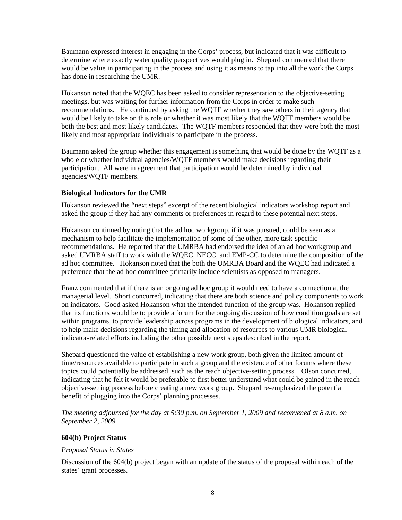Baumann expressed interest in engaging in the Corps' process, but indicated that it was difficult to determine where exactly water quality perspectives would plug in. Shepard commented that there would be value in participating in the process and using it as means to tap into all the work the Corps has done in researching the UMR.

Hokanson noted that the WQEC has been asked to consider representation to the objective-setting meetings, but was waiting for further information from the Corps in order to make such recommendations. He continued by asking the WQTF whether they saw others in their agency that would be likely to take on this role or whether it was most likely that the WQTF members would be both the best and most likely candidates. The WQTF members responded that they were both the most likely and most appropriate individuals to participate in the process.

Baumann asked the group whether this engagement is something that would be done by the WQTF as a whole or whether individual agencies/WQTF members would make decisions regarding their participation. All were in agreement that participation would be determined by individual agencies/WQTF members.

#### **Biological Indicators for the UMR**

Hokanson reviewed the "next steps" excerpt of the recent biological indicators workshop report and asked the group if they had any comments or preferences in regard to these potential next steps.

Hokanson continued by noting that the ad hoc workgroup, if it was pursued, could be seen as a mechanism to help facilitate the implementation of some of the other, more task-specific recommendations. He reported that the UMRBA had endorsed the idea of an ad hoc workgroup and asked UMRBA staff to work with the WQEC, NECC, and EMP-CC to determine the composition of the ad hoc committee. Hokanson noted that the both the UMRBA Board and the WQEC had indicated a preference that the ad hoc committee primarily include scientists as opposed to managers.

Franz commented that if there is an ongoing ad hoc group it would need to have a connection at the managerial level. Short concurred, indicating that there are both science and policy components to work on indicators. Good asked Hokanson what the intended function of the group was. Hokanson replied that its functions would be to provide a forum for the ongoing discussion of how condition goals are set within programs, to provide leadership across programs in the development of biological indicators, and to help make decisions regarding the timing and allocation of resources to various UMR biological indicator-related efforts including the other possible next steps described in the report.

Shepard questioned the value of establishing a new work group, both given the limited amount of time/resources available to participate in such a group and the existence of other forums where these topics could potentially be addressed, such as the reach objective-setting process. Olson concurred, indicating that he felt it would be preferable to first better understand what could be gained in the reach objective-setting process before creating a new work group. Shepard re-emphasized the potential benefit of plugging into the Corps' planning processes.

*The meeting adjourned for the day at 5:30 p.m. on September 1, 2009 and reconvened at 8 a.m. on September 2, 2009.* 

#### **604(b) Project Status**

#### *Proposal Status in States*

Discussion of the 604(b) project began with an update of the status of the proposal within each of the states' grant processes.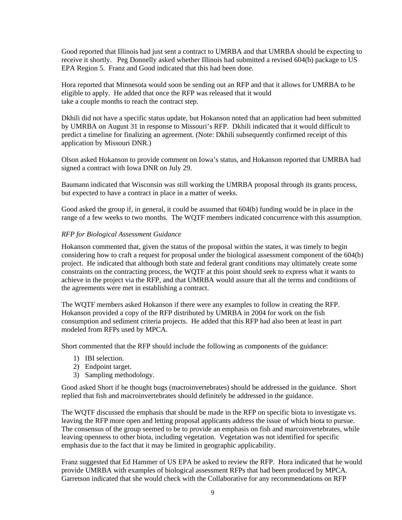Good reported that Illinois had just sent a contract to UMRBA and that UMRBA should be expecting to receive it shortly. Peg Donnelly asked whether Illinois had submitted a revised 604(b) package to US EPA Region 5. Franz and Good indicated that this had been done.

Hora reported that Minnesota would soon be sending out an RFP and that it allows for UMRBA to be eligible to apply. He added that once the RFP was released that it would take a couple months to reach the contract step.

Dkhili did not have a specific status update, but Hokanson noted that an application had been submitted by UMRBA on August 31 in response to Missouri's RFP. Dkhili indicated that it would difficult to predict a timeline for finalizing an agreement. (Note: Dkhili subsequently confirmed receipt of this application by Missouri DNR.)

Olson asked Hokanson to provide comment on Iowa's status, and Hokanson reported that UMRBA had signed a contract with Iowa DNR on July 29.

Baumann indicated that Wisconsin was still working the UMRBA proposal through its grants process, but expected to have a contract in place in a matter of weeks.

Good asked the group if, in general, it could be assumed that 604(b) funding would be in place in the range of a few weeks to two months. The WQTF members indicated concurrence with this assumption.

# *RFP for Biological Assessment Guidance*

Hokanson commented that, given the status of the proposal within the states, it was timely to begin considering how to craft a request for proposal under the biological assessment component of the 604(b) project. He indicated that although both state and federal grant conditions may ultimately create some constraints on the contracting process, the WQTF at this point should seek to express what it wants to achieve in the project via the RFP, and that UMRBA would assure that all the terms and conditions of the agreements were met in establishing a contract.

The WQTF members asked Hokanson if there were any examples to follow in creating the RFP. Hokanson provided a copy of the RFP distributed by UMRBA in 2004 for work on the fish consumption and sediment criteria projects. He added that this RFP had also been at least in part modeled from RFPs used by MPCA.

Short commented that the RFP should include the following as components of the guidance:

- 1) IBI selection.
- 2) Endpoint target.
- 3) Sampling methodology.

Good asked Short if he thought bugs (macroinvertebrates) should be addressed in the guidance. Short replied that fish and macroinvertebrates should definitely be addressed in the guidance.

The WQTF discussed the emphasis that should be made in the RFP on specific biota to investigate vs. leaving the RFP more open and letting proposal applicants address the issue of which biota to pursue. The consensus of the group seemed to be to provide an emphasis on fish and marcoinvertebrates, while leaving openness to other biota, including vegetation. Vegetation was not identified for specific emphasis due to the fact that it may be limited in geographic applicability.

Franz suggested that Ed Hammer of US EPA be asked to review the RFP. Hora indicated that he would provide UMRBA with examples of biological assessment RFPs that had been produced by MPCA. Garretson indicated that she would check with the Collaborative for any recommendations on RFP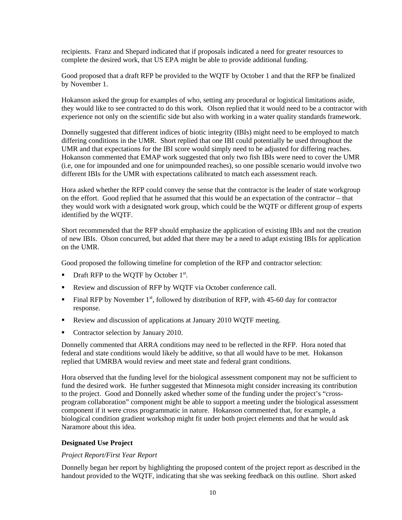recipients. Franz and Shepard indicated that if proposals indicated a need for greater resources to complete the desired work, that US EPA might be able to provide additional funding.

Good proposed that a draft RFP be provided to the WQTF by October 1 and that the RFP be finalized by November 1.

Hokanson asked the group for examples of who, setting any procedural or logistical limitations aside, they would like to see contracted to do this work. Olson replied that it would need to be a contractor with experience not only on the scientific side but also with working in a water quality standards framework.

Donnelly suggested that different indices of biotic integrity (IBIs) might need to be employed to match differing conditions in the UMR. Short replied that one IBI could potentially be used throughout the UMR and that expectations for the IBI score would simply need to be adjusted for differing reaches. Hokanson commented that EMAP work suggested that only two fish IBIs were need to cover the UMR (i.e, one for impounded and one for unimpounded reaches), so one possible scenario would involve two different IBIs for the UMR with expectations calibrated to match each assessment reach.

Hora asked whether the RFP could convey the sense that the contractor is the leader of state workgroup on the effort. Good replied that he assumed that this would be an expectation of the contractor – that they would work with a designated work group, which could be the WQTF or different group of experts identified by the WQTF.

Short recommended that the RFP should emphasize the application of existing IBIs and not the creation of new IBIs. Olson concurred, but added that there may be a need to adapt existing IBIs for application on the UMR.

Good proposed the following timeline for completion of the RFP and contractor selection:

- **Draft RFP to the WQTF by October**  $1^{st}$ **.**
- Review and discussion of RFP by WQTF via October conference call.
- Final RFP by November  $1<sup>st</sup>$ , followed by distribution of RFP, with 45-60 day for contractor response.
- Review and discussion of applications at January 2010 WOTF meeting.
- Contractor selection by January 2010.

Donnelly commented that ARRA conditions may need to be reflected in the RFP. Hora noted that federal and state conditions would likely be additive, so that all would have to be met. Hokanson replied that UMRBA would review and meet state and federal grant conditions.

Hora observed that the funding level for the biological assessment component may not be sufficient to fund the desired work. He further suggested that Minnesota might consider increasing its contribution to the project. Good and Donnelly asked whether some of the funding under the project's "crossprogram collaboration" component might be able to support a meeting under the biological assessment component if it were cross programmatic in nature. Hokanson commented that, for example, a biological condition gradient workshop might fit under both project elements and that he would ask Naramore about this idea.

# **Designated Use Project**

# *Project Report/First Year Report*

Donnelly began her report by highlighting the proposed content of the project report as described in the handout provided to the WQTF, indicating that she was seeking feedback on this outline. Short asked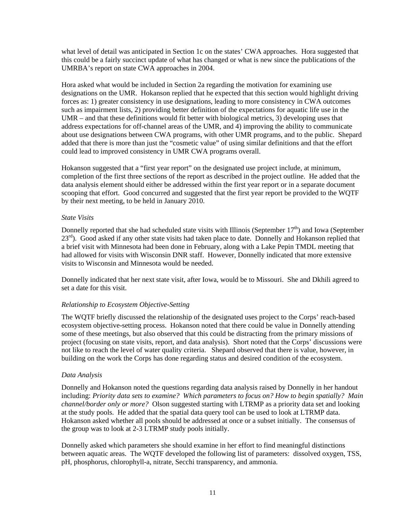what level of detail was anticipated in Section 1c on the states' CWA approaches. Hora suggested that this could be a fairly succinct update of what has changed or what is new since the publications of the UMRBA's report on state CWA approaches in 2004.

Hora asked what would be included in Section 2a regarding the motivation for examining use designations on the UMR. Hokanson replied that he expected that this section would highlight driving forces as: 1) greater consistency in use designations, leading to more consistency in CWA outcomes such as impairment lists, 2) providing better definition of the expectations for aquatic life use in the UMR – and that these definitions would fit better with biological metrics, 3) developing uses that address expectations for off-channel areas of the UMR, and 4) improving the ability to communicate about use designations between CWA programs, with other UMR programs, and to the public. Shepard added that there is more than just the "cosmetic value" of using similar definitions and that the effort could lead to improved consistency in UMR CWA programs overall.

Hokanson suggested that a "first year report" on the designated use project include, at minimum, completion of the first three sections of the report as described in the project outline. He added that the data analysis element should either be addressed within the first year report or in a separate document scooping that effort. Good concurred and suggested that the first year report be provided to the WQTF by their next meeting, to be held in January 2010.

# *State Visits*

Donnelly reported that she had scheduled state visits with Illinois (September  $17<sup>th</sup>$ ) and Iowa (September 23<sup>rd</sup>). Good asked if any other state visits had taken place to date. Donnelly and Hokanson replied that a brief visit with Minnesota had been done in February, along with a Lake Pepin TMDL meeting that had allowed for visits with Wisconsin DNR staff. However, Donnelly indicated that more extensive visits to Wisconsin and Minnesota would be needed.

Donnelly indicated that her next state visit, after Iowa, would be to Missouri. She and Dkhili agreed to set a date for this visit.

# *Relationship to Ecosystem Objective-Setting*

The WQTF briefly discussed the relationship of the designated uses project to the Corps' reach-based ecosystem objective-setting process. Hokanson noted that there could be value in Donnelly attending some of these meetings, but also observed that this could be distracting from the primary missions of project (focusing on state visits, report, and data analysis). Short noted that the Corps' discussions were not like to reach the level of water quality criteria. Shepard observed that there is value, however, in building on the work the Corps has done regarding status and desired condition of the ecosystem.

# *Data Analysis*

Donnelly and Hokanson noted the questions regarding data analysis raised by Donnelly in her handout including: *Priority data sets to examine? Which parameters to focus on? How to begin spatially? Main channel/border only or more?* Olson suggested starting with LTRMP as a priority data set and looking at the study pools. He added that the spatial data query tool can be used to look at LTRMP data. Hokanson asked whether all pools should be addressed at once or a subset initially. The consensus of the group was to look at 2-3 LTRMP study pools initially.

Donnelly asked which parameters she should examine in her effort to find meaningful distinctions between aquatic areas. The WQTF developed the following list of parameters: dissolved oxygen, TSS, pH, phosphorus, chlorophyll-a, nitrate, Secchi transparency, and ammonia.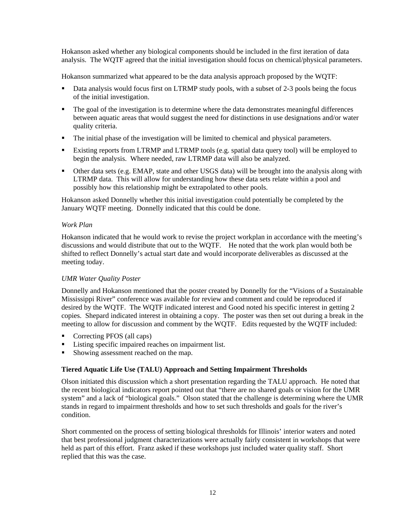Hokanson asked whether any biological components should be included in the first iteration of data analysis. The WQTF agreed that the initial investigation should focus on chemical/physical parameters.

Hokanson summarized what appeared to be the data analysis approach proposed by the WQTF:

- Data analysis would focus first on LTRMP study pools, with a subset of 2-3 pools being the focus of the initial investigation.
- The goal of the investigation is to determine where the data demonstrates meaningful differences between aquatic areas that would suggest the need for distinctions in use designations and/or water quality criteria.
- The initial phase of the investigation will be limited to chemical and physical parameters.
- Existing reports from LTRMP and LTRMP tools (e.g. spatial data query tool) will be employed to begin the analysis. Where needed, raw LTRMP data will also be analyzed.
- Other data sets (e.g. EMAP, state and other USGS data) will be brought into the analysis along with LTRMP data. This will allow for understanding how these data sets relate within a pool and possibly how this relationship might be extrapolated to other pools.

Hokanson asked Donnelly whether this initial investigation could potentially be completed by the January WQTF meeting. Donnelly indicated that this could be done.

# *Work Plan*

Hokanson indicated that he would work to revise the project workplan in accordance with the meeting's discussions and would distribute that out to the WQTF. He noted that the work plan would both be shifted to reflect Donnelly's actual start date and would incorporate deliverables as discussed at the meeting today.

# *UMR Water Quality Poster*

Donnelly and Hokanson mentioned that the poster created by Donnelly for the "Visions of a Sustainable Mississippi River" conference was available for review and comment and could be reproduced if desired by the WQTF. The WQTF indicated interest and Good noted his specific interest in getting 2 copies. Shepard indicated interest in obtaining a copy. The poster was then set out during a break in the meeting to allow for discussion and comment by the WQTF. Edits requested by the WQTF included:

- Correcting PFOS (all caps)
- Listing specific impaired reaches on impairment list.
- **Showing assessment reached on the map.**

# **Tiered Aquatic Life Use (TALU) Approach and Setting Impairment Thresholds**

Olson initiated this discussion which a short presentation regarding the TALU approach. He noted that the recent biological indicators report pointed out that "there are no shared goals or vision for the UMR system" and a lack of "biological goals." Olson stated that the challenge is determining where the UMR stands in regard to impairment thresholds and how to set such thresholds and goals for the river's condition.

Short commented on the process of setting biological thresholds for Illinois' interior waters and noted that best professional judgment characterizations were actually fairly consistent in workshops that were held as part of this effort. Franz asked if these workshops just included water quality staff. Short replied that this was the case.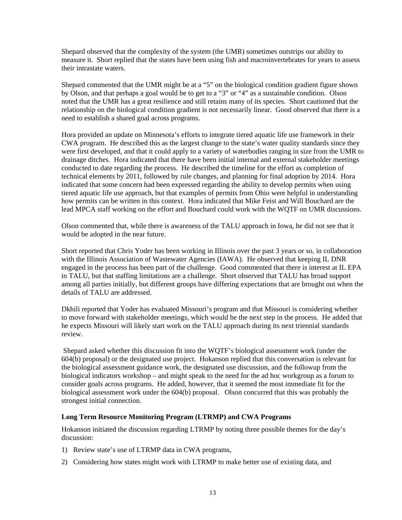Shepard observed that the complexity of the system (the UMR) sometimes outstrips our ability to measure it. Short replied that the states have been using fish and macroinvertebrates for years to assess their intrastate waters.

Shepard commented that the UMR might be at a "5" on the biological condition gradient figure shown by Olson, and that perhaps a goal would be to get to a "3" or "4" as a sustainable condition. Olson noted that the UMR has a great resilience and still retains many of its species. Short cautioned that the relationship on the biological condition gradient is not necessarily linear. Good observed that there is a need to establish a shared goal across programs.

Hora provided an update on Minnesota's efforts to integrate tiered aquatic life use framework in their CWA program. He described this as the largest change to the state's water quality standards since they were first developed, and that it could apply to a variety of waterbodies ranging in size from the UMR to drainage ditches. Hora indicated that there have been initial internal and external stakeholder meetings conducted to date regarding the process. He described the timeline for the effort as completion of technical elements by 2011, followed by rule changes, and planning for final adoption by 2014. Hora indicated that some concern had been expressed regarding the ability to develop permits when using tiered aquatic life use approach, but that examples of permits from Ohio were helpful in understanding how permits can be written in this context. Hora indicated that Mike Feist and Will Bouchard are the lead MPCA staff working on the effort and Bouchard could work with the WQTF on UMR discussions.

Olson commented that, while there is awareness of the TALU approach in Iowa, he did not see that it would be adopted in the near future.

Short reported that Chris Yoder has been working in Illinois over the past 3 years or so, in collaboration with the Illinois Association of Wastewater Agencies (IAWA). He observed that keeping IL DNR engaged in the process has been part of the challenge. Good commented that there is interest at IL EPA in TALU, but that staffing limitations are a challenge. Short observed that TALU has broad support among all parties initially, but different groups have differing expectations that are brought out when the details of TALU are addressed.

Dkhili reported that Yoder has evaluated Missouri's program and that Missouri is considering whether to move forward with stakeholder meetings, which would be the next step in the process. He added that he expects Missouri will likely start work on the TALU approach during its next triennial standards review.

Shepard asked whether this discussion fit into the WQTF's biological assessment work (under the 604(b) proposal) or the designated use project. Hokanson replied that this conversation is relevant for the biological assessment guidance work, the designated use discussion, and the followup from the biological indicators workshop – and might speak to the need for the ad hoc workgroup as a forum to consider goals across programs. He added, however, that it seemed the most immediate fit for the biological assessment work under the 604(b) proposal. Olson concurred that this was probably the strongest initial connection.

# **Long Term Resource Monitoring Program (LTRMP) and CWA Programs**

Hokanson initiated the discussion regarding LTRMP by noting three possible themes for the day's discussion:

- 1) Review state's use of LTRMP data in CWA programs,
- 2) Considering how states might work with LTRMP to make better use of existing data, and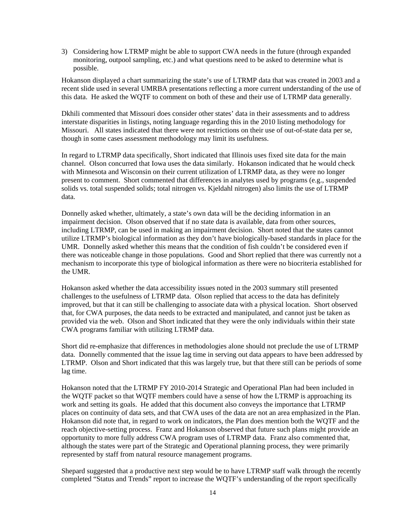3) Considering how LTRMP might be able to support CWA needs in the future (through expanded monitoring, outpool sampling, etc.) and what questions need to be asked to determine what is possible.

Hokanson displayed a chart summarizing the state's use of LTRMP data that was created in 2003 and a recent slide used in several UMRBA presentations reflecting a more current understanding of the use of this data. He asked the WQTF to comment on both of these and their use of LTRMP data generally.

Dkhili commented that Missouri does consider other states' data in their assessments and to address interstate disparities in listings, noting language regarding this in the 2010 listing methodology for Missouri. All states indicated that there were not restrictions on their use of out-of-state data per se, though in some cases assessment methodology may limit its usefulness.

In regard to LTRMP data specifically, Short indicated that Illinois uses fixed site data for the main channel. Olson concurred that Iowa uses the data similarly. Hokanson indicated that he would check with Minnesota and Wisconsin on their current utilization of LTRMP data, as they were no longer present to comment. Short commented that differences in analytes used by programs (e.g., suspended solids vs. total suspended solids; total nitrogen vs. Kjeldahl nitrogen) also limits the use of LTRMP data.

Donnelly asked whether, ultimately, a state's own data will be the deciding information in an impairment decision. Olson observed that if no state data is available, data from other sources, including LTRMP, can be used in making an impairment decision. Short noted that the states cannot utilize LTRMP's biological information as they don't have biologically-based standards in place for the UMR. Donnelly asked whether this means that the condition of fish couldn't be considered even if there was noticeable change in those populations. Good and Short replied that there was currently not a mechanism to incorporate this type of biological information as there were no biocriteria established for the UMR.

Hokanson asked whether the data accessibility issues noted in the 2003 summary still presented challenges to the usefulness of LTRMP data. Olson replied that access to the data has definitely improved, but that it can still be challenging to associate data with a physical location. Short observed that, for CWA purposes, the data needs to be extracted and manipulated, and cannot just be taken as provided via the web. Olson and Short indicated that they were the only individuals within their state CWA programs familiar with utilizing LTRMP data.

Short did re-emphasize that differences in methodologies alone should not preclude the use of LTRMP data. Donnelly commented that the issue lag time in serving out data appears to have been addressed by LTRMP. Olson and Short indicated that this was largely true, but that there still can be periods of some lag time.

Hokanson noted that the LTRMP FY 2010-2014 Strategic and Operational Plan had been included in the WQTF packet so that WQTF members could have a sense of how the LTRMP is approaching its work and setting its goals. He added that this document also conveys the importance that LTRMP places on continuity of data sets, and that CWA uses of the data are not an area emphasized in the Plan. Hokanson did note that, in regard to work on indicators, the Plan does mention both the WQTF and the reach objective-setting process. Franz and Hokanson observed that future such plans might provide an opportunity to more fully address CWA program uses of LTRMP data. Franz also commented that, although the states were part of the Strategic and Operational planning process, they were primarily represented by staff from natural resource management programs.

Shepard suggested that a productive next step would be to have LTRMP staff walk through the recently completed "Status and Trends" report to increase the WQTF's understanding of the report specifically